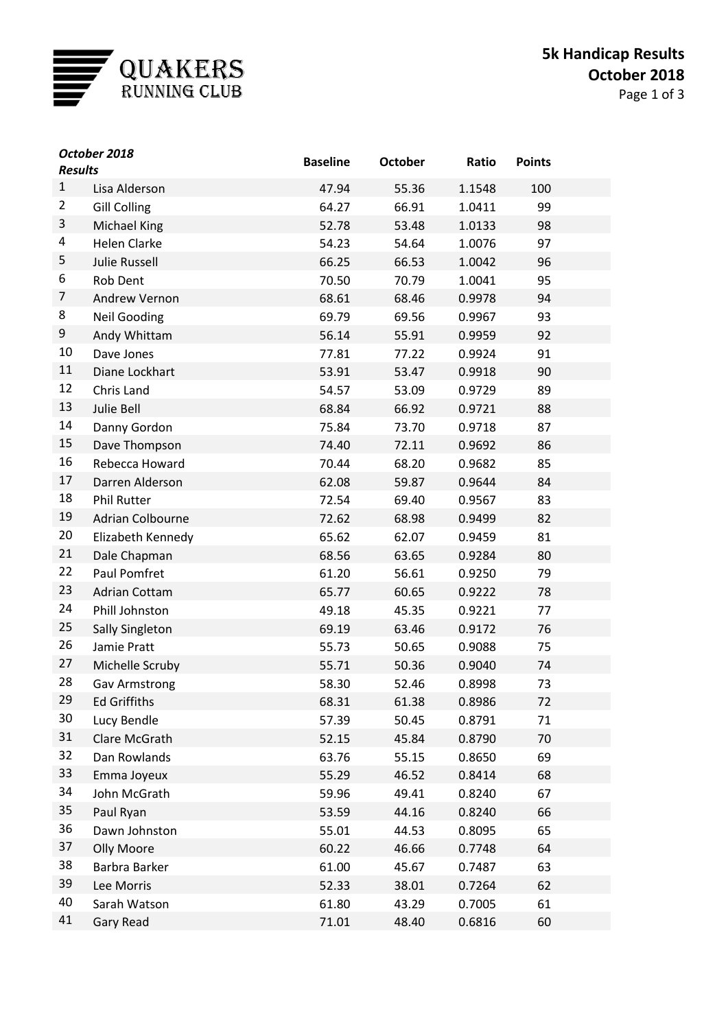

| October 2018<br><b>Results</b> |                      | <b>Baseline</b> | <b>October</b> | Ratio  | <b>Points</b> |  |
|--------------------------------|----------------------|-----------------|----------------|--------|---------------|--|
| $\mathbf{1}$                   | Lisa Alderson        | 47.94           | 55.36          | 1.1548 | 100           |  |
| $\overline{2}$                 | <b>Gill Colling</b>  | 64.27           | 66.91          | 1.0411 | 99            |  |
| 3                              | <b>Michael King</b>  | 52.78           | 53.48          | 1.0133 | 98            |  |
| 4                              | <b>Helen Clarke</b>  | 54.23           | 54.64          | 1.0076 | 97            |  |
| 5                              | <b>Julie Russell</b> | 66.25           | 66.53          | 1.0042 | 96            |  |
| 6                              | Rob Dent             | 70.50           | 70.79          | 1.0041 | 95            |  |
| 7                              | Andrew Vernon        | 68.61           | 68.46          | 0.9978 | 94            |  |
| 8                              | <b>Neil Gooding</b>  | 69.79           | 69.56          | 0.9967 | 93            |  |
| 9                              | Andy Whittam         | 56.14           | 55.91          | 0.9959 | 92            |  |
| 10                             | Dave Jones           | 77.81           | 77.22          | 0.9924 | 91            |  |
| 11                             | Diane Lockhart       | 53.91           | 53.47          | 0.9918 | 90            |  |
| 12                             | Chris Land           | 54.57           | 53.09          | 0.9729 | 89            |  |
| 13                             | Julie Bell           | 68.84           | 66.92          | 0.9721 | 88            |  |
| 14                             | Danny Gordon         | 75.84           | 73.70          | 0.9718 | 87            |  |
| 15                             | Dave Thompson        | 74.40           | 72.11          | 0.9692 | 86            |  |
| 16                             | Rebecca Howard       | 70.44           | 68.20          | 0.9682 | 85            |  |
| 17                             | Darren Alderson      | 62.08           | 59.87          | 0.9644 | 84            |  |
| 18                             | <b>Phil Rutter</b>   | 72.54           | 69.40          | 0.9567 | 83            |  |
| 19                             | Adrian Colbourne     | 72.62           | 68.98          | 0.9499 | 82            |  |
| 20                             | Elizabeth Kennedy    | 65.62           | 62.07          | 0.9459 | 81            |  |
| 21                             | Dale Chapman         | 68.56           | 63.65          | 0.9284 | 80            |  |
| 22                             | Paul Pomfret         | 61.20           | 56.61          | 0.9250 | 79            |  |
| 23                             | <b>Adrian Cottam</b> | 65.77           | 60.65          | 0.9222 | 78            |  |
| 24                             | Phill Johnston       | 49.18           | 45.35          | 0.9221 | 77            |  |
| 25                             | Sally Singleton      | 69.19           | 63.46          | 0.9172 | 76            |  |
| 26                             | Jamie Pratt          | 55.73           | 50.65          | 0.9088 | 75            |  |
| 27                             | Michelle Scruby      | 55.71           | 50.36          | 0.9040 | 74            |  |
| 28                             | Gav Armstrong        | 58.30           | 52.46          | 0.8998 | 73            |  |
| 29                             | <b>Ed Griffiths</b>  | 68.31           | 61.38          | 0.8986 | 72            |  |
| 30                             | Lucy Bendle          | 57.39           | 50.45          | 0.8791 | 71            |  |
| 31                             | Clare McGrath        | 52.15           | 45.84          | 0.8790 | 70            |  |
| 32                             | Dan Rowlands         | 63.76           | 55.15          | 0.8650 | 69            |  |
| 33                             | Emma Joyeux          | 55.29           | 46.52          | 0.8414 | 68            |  |
| 34                             | John McGrath         | 59.96           | 49.41          | 0.8240 | 67            |  |
| 35                             | Paul Ryan            | 53.59           | 44.16          | 0.8240 | 66            |  |
| 36                             | Dawn Johnston        | 55.01           | 44.53          | 0.8095 | 65            |  |
| 37                             | <b>Olly Moore</b>    | 60.22           | 46.66          | 0.7748 | 64            |  |
| 38                             | Barbra Barker        | 61.00           | 45.67          | 0.7487 | 63            |  |
| 39                             | Lee Morris           | 52.33           | 38.01          | 0.7264 | 62            |  |
| 40                             | Sarah Watson         | 61.80           | 43.29          | 0.7005 | 61            |  |
| 41                             | Gary Read            | 71.01           | 48.40          | 0.6816 | 60            |  |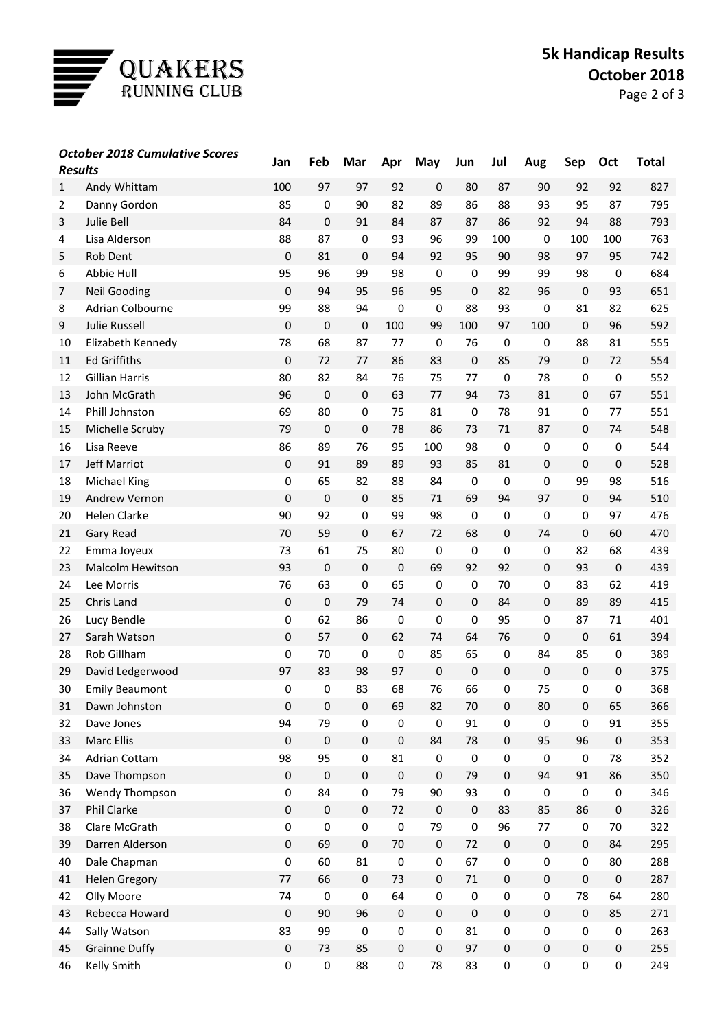

| <b>Results</b> | <b>October 2018 Cumulative Scores</b> | Jan         | Feb         | Mar              | Apr         | May         | Jun         | Jul              | Aug         | Sep         | Oct       | <b>Total</b> |
|----------------|---------------------------------------|-------------|-------------|------------------|-------------|-------------|-------------|------------------|-------------|-------------|-----------|--------------|
| $\mathbf{1}$   | Andy Whittam                          | 100         | 97          | 97               | 92          | $\pmb{0}$   | 80          | 87               | 90          | 92          | 92        | 827          |
| 2              | Danny Gordon                          | 85          | $\mathbf 0$ | 90               | 82          | 89          | 86          | 88               | 93          | 95          | 87        | 795          |
| 3              | <b>Julie Bell</b>                     | 84          | $\mathbf 0$ | 91               | 84          | 87          | 87          | 86               | 92          | 94          | 88        | 793          |
| 4              | Lisa Alderson                         | 88          | 87          | $\mathbf 0$      | 93          | 96          | 99          | 100              | $\pmb{0}$   | 100         | 100       | 763          |
| 5              | Rob Dent                              | 0           | 81          | 0                | 94          | 92          | 95          | 90               | 98          | 97          | 95        | 742          |
| 6              | Abbie Hull                            | 95          | 96          | 99               | 98          | $\mathbf 0$ | 0           | 99               | 99          | 98          | $\pmb{0}$ | 684          |
| $\overline{7}$ | <b>Neil Gooding</b>                   | 0           | 94          | 95               | 96          | 95          | 0           | 82               | 96          | 0           | 93        | 651          |
| 8              | Adrian Colbourne                      | 99          | 88          | 94               | 0           | 0           | 88          | 93               | 0           | 81          | 82        | 625          |
| 9              | <b>Julie Russell</b>                  | $\pmb{0}$   | $\mathbf 0$ | $\mathbf 0$      | 100         | 99          | 100         | 97               | 100         | $\pmb{0}$   | 96        | 592          |
| 10             | Elizabeth Kennedy                     | 78          | 68          | 87               | 77          | $\mathbf 0$ | 76          | 0                | $\mathbf 0$ | 88          | 81        | 555          |
| 11             | <b>Ed Griffiths</b>                   | 0           | 72          | 77               | 86          | 83          | $\mathbf 0$ | 85               | 79          | $\pmb{0}$   | 72        | 554          |
| 12             | <b>Gillian Harris</b>                 | 80          | 82          | 84               | 76          | 75          | 77          | 0                | 78          | 0           | $\pmb{0}$ | 552          |
| 13             | John McGrath                          | 96          | $\mathbf 0$ | $\mathbf 0$      | 63          | 77          | 94          | 73               | 81          | $\pmb{0}$   | 67        | 551          |
| 14             | Phill Johnston                        | 69          | 80          | $\mathbf 0$      | 75          | 81          | 0           | 78               | 91          | 0           | 77        | 551          |
| 15             | Michelle Scruby                       | 79          | $\mathbf 0$ | $\boldsymbol{0}$ | 78          | 86          | 73          | 71               | 87          | $\pmb{0}$   | 74        | 548          |
| 16             | Lisa Reeve                            | 86          | 89          | 76               | 95          | 100         | 98          | 0                | $\mathbf 0$ | 0           | 0         | 544          |
| 17             | <b>Jeff Marriot</b>                   | 0           | 91          | 89               | 89          | 93          | 85          | 81               | $\mathbf 0$ | $\pmb{0}$   | $\pmb{0}$ | 528          |
| 18             | Michael King                          | 0           | 65          | 82               | 88          | 84          | $\pmb{0}$   | $\pmb{0}$        | $\mathbf 0$ | 99          | 98        | 516          |
| 19             | Andrew Vernon                         | 0           | $\mathbf 0$ | $\mathbf 0$      | 85          | 71          | 69          | 94               | 97          | 0           | 94        | 510          |
| 20             | Helen Clarke                          | 90          | 92          | $\pmb{0}$        | 99          | 98          | $\mathbf 0$ | 0                | $\mathbf 0$ | 0           | 97        | 476          |
| 21             | <b>Gary Read</b>                      | 70          | 59          | $\mathbf 0$      | 67          | 72          | 68          | 0                | 74          | $\pmb{0}$   | 60        | 470          |
| 22             | Emma Joyeux                           | 73          | 61          | 75               | 80          | 0           | $\mathbf 0$ | $\pmb{0}$        | 0           | 82          | 68        | 439          |
| 23             | Malcolm Hewitson                      | 93          | $\mathbf 0$ | $\mathbf 0$      | $\mathbf 0$ | 69          | 92          | 92               | $\mathbf 0$ | 93          | $\pmb{0}$ | 439          |
| 24             | Lee Morris                            | 76          | 63          | 0                | 65          | 0           | $\pmb{0}$   | 70               | 0           | 83          | 62        | 419          |
| 25             | Chris Land                            | 0           | $\mathbf 0$ | 79               | 74          | $\pmb{0}$   | $\pmb{0}$   | 84               | $\pmb{0}$   | 89          | 89        | 415          |
| 26             | Lucy Bendle                           | 0           | 62          | 86               | 0           | 0           | $\pmb{0}$   | 95               | 0           | 87          | 71        | 401          |
| 27             | Sarah Watson                          | 0           | 57          | $\mathbf 0$      | 62          | 74          | 64          | 76               | 0           | $\pmb{0}$   | 61        | 394          |
| 28             | Rob Gillham                           | 0           | 70          | $\mathbf 0$      | $\mathbf 0$ | 85          | 65          | 0                | 84          | 85          | 0         | 389          |
| 29             | David Ledgerwood                      | 97          | 83          | 98               | 97          | $\mathbf 0$ | $\mathbf 0$ | $\boldsymbol{0}$ | $\mathbf 0$ | $\pmb{0}$   | $\pmb{0}$ | 375          |
| 30             | <b>Emily Beaumont</b>                 | 0           | 0           | 83               | 68          | 76          | 66          | 0                | 75          | 0           | 0         | 368          |
| 31             | Dawn Johnston                         | $\pmb{0}$   | $\pmb{0}$   | $\pmb{0}$        | 69          | 82          | 70          | $\pmb{0}$        | 80          | $\pmb{0}$   | 65        | 366          |
| 32             | Dave Jones                            | 94          | 79          | $\pmb{0}$        | $\pmb{0}$   | $\pmb{0}$   | 91          | $\mathbf 0$      | $\pmb{0}$   | $\pmb{0}$   | 91        | 355          |
| 33             | Marc Ellis                            | 0           | $\pmb{0}$   | $\pmb{0}$        | $\pmb{0}$   | 84          | 78          | $\pmb{0}$        | 95          | 96          | $\pmb{0}$ | 353          |
| 34             | Adrian Cottam                         | 98          | 95          | $\pmb{0}$        | 81          | $\pmb{0}$   | $\pmb{0}$   | $\pmb{0}$        | $\pmb{0}$   | $\pmb{0}$   | 78        | 352          |
| 35             | Dave Thompson                         | 0           | $\pmb{0}$   | $\pmb{0}$        | $\pmb{0}$   | $\pmb{0}$   | 79          | $\pmb{0}$        | 94          | 91          | 86        | 350          |
| 36             | Wendy Thompson                        | $\pmb{0}$   | 84          | $\pmb{0}$        | 79          | 90          | 93          | $\pmb{0}$        | $\pmb{0}$   | $\mathbf 0$ | $\pmb{0}$ | 346          |
| 37             | Phil Clarke                           | $\pmb{0}$   | $\pmb{0}$   | $\pmb{0}$        | 72          | $\pmb{0}$   | $\pmb{0}$   | 83               | 85          | 86          | $\pmb{0}$ | 326          |
| 38             | Clare McGrath                         | $\pmb{0}$   | $\pmb{0}$   | $\pmb{0}$        | $\pmb{0}$   | 79          | $\pmb{0}$   | 96               | 77          | $\pmb{0}$   | $70\,$    | 322          |
| 39             | Darren Alderson                       | $\pmb{0}$   | 69          | $\pmb{0}$        | $70\,$      | $\pmb{0}$   | $72\,$      | $\pmb{0}$        | $\pmb{0}$   | $\pmb{0}$   | 84        | 295          |
| 40             | Dale Chapman                          | $\pmb{0}$   | 60          | 81               | $\pmb{0}$   | $\pmb{0}$   | 67          | $\pmb{0}$        | $\mathbf 0$ | $\pmb{0}$   | 80        | 288          |
| 41             | <b>Helen Gregory</b>                  | 77          | 66          | $\mathbf 0$      | 73          | $\pmb{0}$   | $71\,$      | $\boldsymbol{0}$ | $\pmb{0}$   | $\pmb{0}$   | $\pmb{0}$ | 287          |
| 42             | Olly Moore                            | 74          | $\pmb{0}$   | $\mathbf 0$      | 64          | $\pmb{0}$   | $\pmb{0}$   | $\pmb{0}$        | $\mathbf 0$ | 78          | 64        | 280          |
| 43             | Rebecca Howard                        | 0           | 90          | 96               | $\pmb{0}$   | $\pmb{0}$   | $\mathbf 0$ | $\pmb{0}$        | $\mathbf 0$ | $\pmb{0}$   | 85        | 271          |
| 44             | Sally Watson                          | 83          | 99          | $\pmb{0}$        | $\pmb{0}$   | $\pmb{0}$   | 81          | $\pmb{0}$        | $\mathsf 0$ | $\pmb{0}$   | $\pmb{0}$ | 263          |
| 45             | <b>Grainne Duffy</b>                  | $\mathbf 0$ | 73          | 85               | $\pmb{0}$   | $\pmb{0}$   | 97          | $\mathbf 0$      | $\mathbf 0$ | $\pmb{0}$   | $\pmb{0}$ | 255          |
| 46             | Kelly Smith                           | $\pmb{0}$   | $\pmb{0}$   | 88               | $\pmb{0}$   | 78          | 83          | $\pmb{0}$        | $\pmb{0}$   | $\pmb{0}$   | $\pmb{0}$ | 249          |